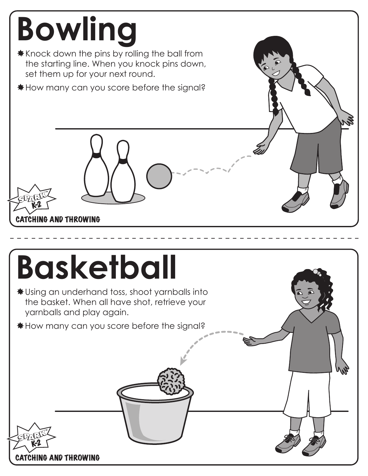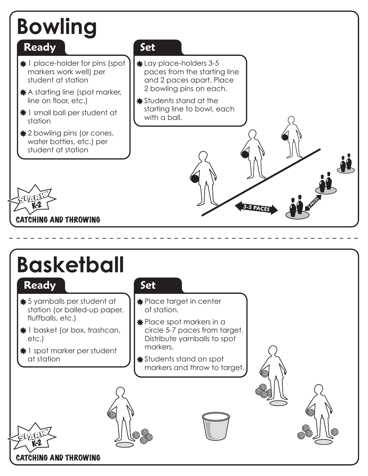# **Bowling**

#### **Ready**

- $\bigstar$  **1 place-holder for pins (spot** markers work well) per student at station
- $\bigstar$  A starting line (spot marker, line on floor, etc.)
- $*1$  small ball per student at station
- $\bigstar 2$  bowling pins (or cones, water bottles, etc.) per student at station

#### **Set**

- Lay place-holders 3-5 paces from the starting line and 2 paces apart. Place 2 bowling pins on each.
- **\*** Students stand at the starting line to bowl, each with a ball.



### **Basketball**

#### **Ready**

- 5 yarnballs per student at station (or balled-up paper, fluffballs, etc.)
- $*1$  basket (or box, trashcan, etc.)
- $\bigstar$  1 spot marker per student at station

#### **Set**

- \* Place target in center of station.
- $\bigstar$  Place spot markers in a circle 5-7 paces from target. Distribute yarnballs to spot markers.
- Students stand on spot markers and throw to target.



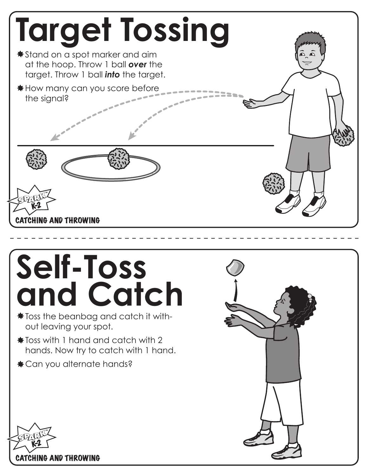

### $\frac{1}{2}$  Toss the beanbag and catch it with**and Catch**

- out leaving your spot.
- $\frac{1}{\sqrt{2}}$  Toss with 1 hand and catch with 2 hands. Now try to catch with 1 hand.
- $\ast$  **Can you alternate hands?**

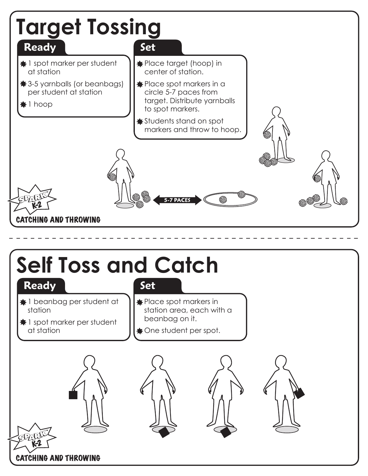

### **Self Toss and Catch**

#### **Ready**

- 
- $\bigstar$  **1 beanbag per student at** station
- $\bigstar$  1 spot marker per student at station
- **Set**
- $\bigstar$  Place spot markers in station area, each with a beanbag on it.
- $\bigstar$  One student per spot.









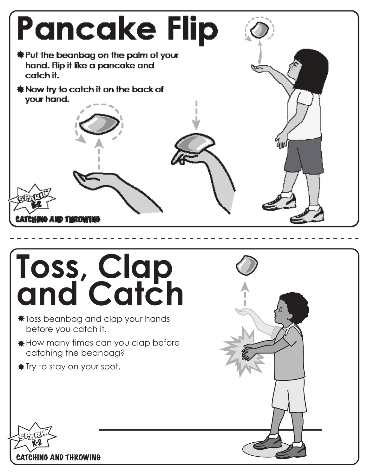

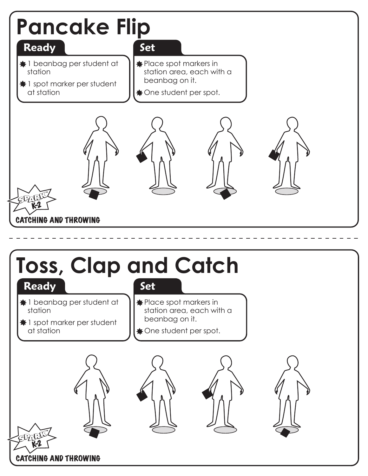

### **Toss, Clap and Catch**

#### **Ready**

- **Set**
- 1 beanbag per student at station
- $\bigstar$  1 spot marker per student at station
- $\bigstar$  **Place spot markers in** station area, each with a beanbag on it.
- $\bullet$  **One student per spot.**









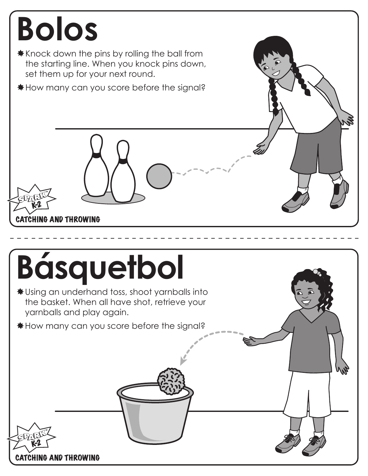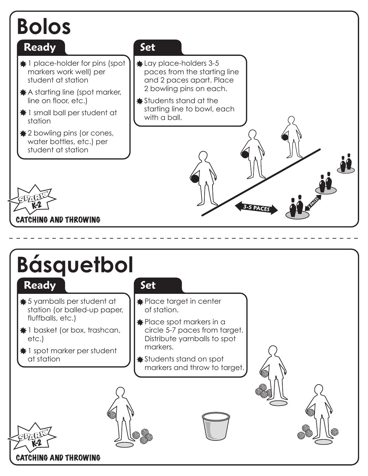## **Bolos**

#### **Ready**

- $\bigstar$  **1 place-holder for pins (spot** markers work well) per student at station
- $\bigstar$  A starting line (spot marker, line on floor, etc.)
- $*1$  small ball per student at station
- $\bigstar 2$  bowling pins (or cones, water bottles, etc.) per student at station

#### **Set**

- Lay place-holders 3-5 paces from the starting line and 2 paces apart. Place 2 bowling pins on each.
- **\*** Students stand at the starting line to bowl, each with a ball.



# **Básquetbol**

#### **Ready**

- 5 yarnballs per student at station (or balled-up paper, fluffballs, etc.)
- $*1$  basket (or box, trashcan, etc.)
- $\bigstar$  1 spot marker per student at station

#### **Set**

- **\*** Place target in center of station.
- $\bigstar$  Place spot markers in a circle 5-7 paces from target. Distribute yarnballs to spot markers.
- Students stand on spot markers and throw to target.

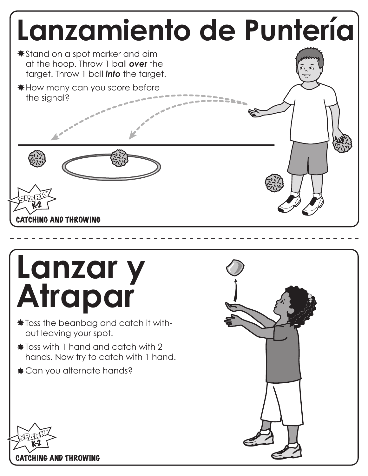

# **Lanzar y Atrapar**

- $\frac{1}{2}$  Toss the beanbag and catch it without leaving your spot.
- $\frac{1}{\sqrt{2}}$  Toss with 1 hand and catch with 2 hands. Now try to catch with 1 hand.
- Can you alternate hands?



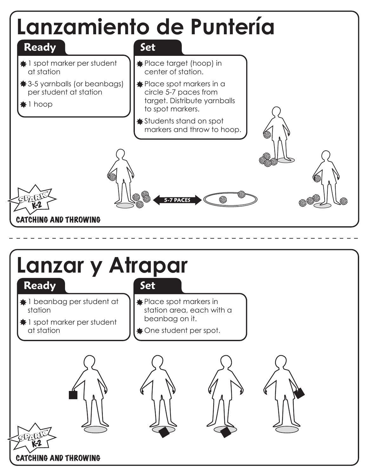







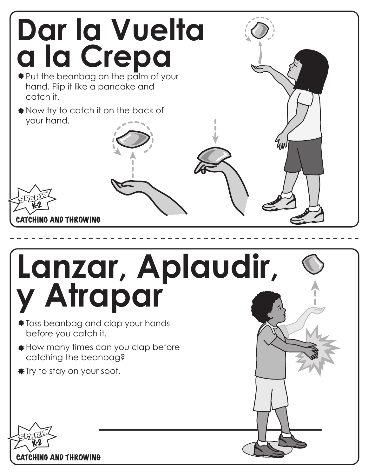